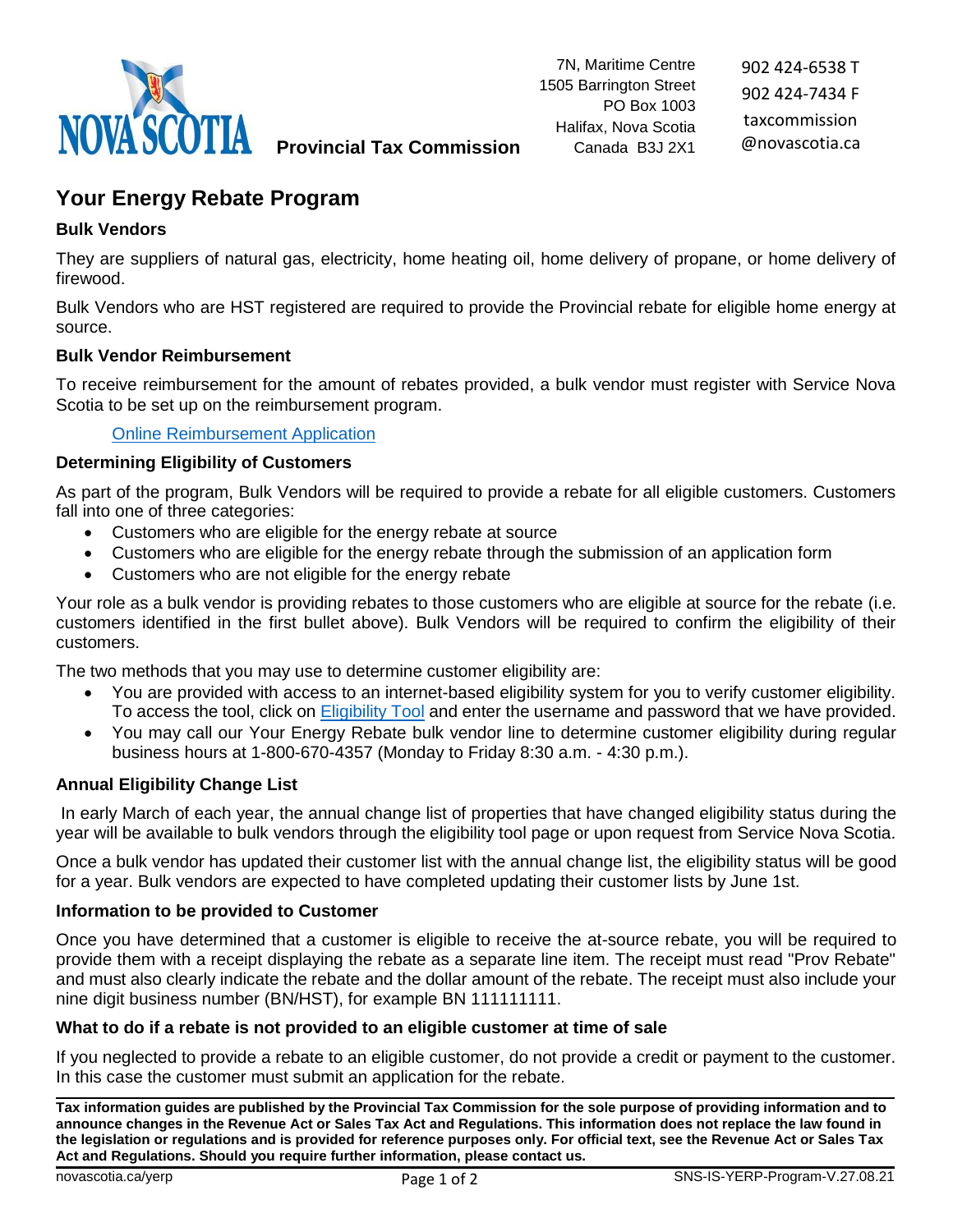

902 424-6538 T 902 424-7434 F taxcommission @novascotia.ca

# **Provincial Tax Commission**

# **Your Energy Rebate Program**

# **Bulk Vendors**

They are suppliers of natural gas, electricity, home heating oil, home delivery of propane, or home delivery of firewood.

Bulk Vendors who are HST registered are required to provide the Provincial rebate for eligible home energy at source.

# **Bulk Vendor Reimbursement**

To receive reimbursement for the amount of rebates provided, a bulk vendor must register with Service Nova Scotia to be set up on the reimbursement program.

[Online Reimbursement Application](https://yourenergyrebate.gov.ns.ca/onlinesubmission/)

# **Determining Eligibility of Customers**

As part of the program, Bulk Vendors will be required to provide a rebate for all eligible customers. Customers fall into one of three categories:

- Customers who are eligible for the energy rebate at source
- Customers who are eligible for the energy rebate through the submission of an application form
- Customers who are not eligible for the energy rebate

Your role as a bulk vendor is providing rebates to those customers who are eligible at source for the rebate (i.e. customers identified in the first bullet above). Bulk Vendors will be required to confirm the eligibility of their customers.

The two methods that you may use to determine customer eligibility are:

- You are provided with access to an internet-based eligibility system for you to verify customer eligibility. To access the tool, click on [Eligibility Tool](https://data9.nsgc.gov.ns.ca/nsenergyrebate/) and enter the username and password that we have provided.
- You may call our Your Energy Rebate bulk vendor line to determine customer eligibility during regular business hours at 1-800-670-4357 (Monday to Friday 8:30 a.m. - 4:30 p.m.).

# **Annual Eligibility Change List**

In early March of each year, the annual change list of properties that have changed eligibility status during the year will be available to bulk vendors through the eligibility tool page or upon request from Service Nova Scotia.

Once a bulk vendor has updated their customer list with the annual change list, the eligibility status will be good for a year. Bulk vendors are expected to have completed updating their customer lists by June 1st.

# **Information to be provided to Customer**

Once you have determined that a customer is eligible to receive the at-source rebate, you will be required to provide them with a receipt displaying the rebate as a separate line item. The receipt must read "Prov Rebate" and must also clearly indicate the rebate and the dollar amount of the rebate. The receipt must also include your nine digit business number (BN/HST), for example BN 111111111.

# **What to do if a rebate is not provided to an eligible customer at time of sale**

If you neglected to provide a rebate to an eligible customer, do not provide a credit or payment to the customer. In this case the customer must submit an application for the rebate.

**Tax information guides are published by the Provincial Tax Commission for the sole purpose of providing information and to announce changes in the Revenue Act or Sales Tax Act and Regulations. This information does not replace the law found in the legislation or regulations and is provided for reference purposes only. For official text, see the Revenue Act or Sales Tax Act and Regulations. Should you require further information, please contact us.**